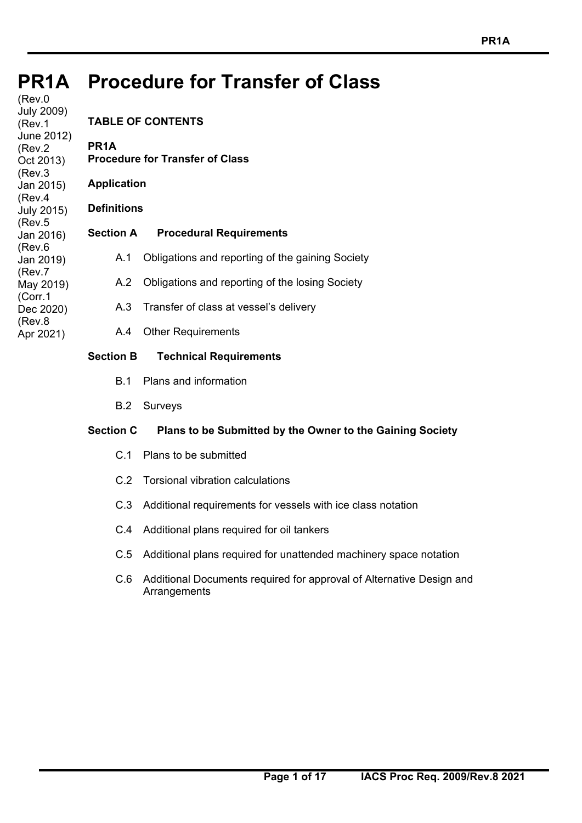#### **PR1A PR1A Procedure for Transfer of Class**

(Rev.0 July 2009) (Rev.1 June 2012) (Rev.2 Oct 2013) (Rev.3 Jan 2015) (Rev.4 July 2015) (Rev.5 Jan 2016) (Rev.6 Jan 2019) (Rev.7 May 2019) (Corr.1 Dec 2020) (Rev.8 Apr 2021)

# **TABLE OF CONTENTS PR1A Procedure for Transfer of Class Application Definitions Section A Procedural Requirements**  A.1 Obligations and reporting of the gaining Society A.2 Obligations and reporting of the losing Society A.3 Transfer of class at vessel's delivery A.4 Other Requirements **Section B Technical Requirements**

# B.1 Plans and information

- 
- B.2 Surveys

# **Section C Plans to be Submitted by the Owner to the Gaining Society**

- C.1 Plans to be submitted
- C.2 Torsional vibration calculations
- C.3 Additional requirements for vessels with ice class notation
- C.4 Additional plans required for oil tankers
- C.5 Additional plans required for unattended machinery space notation
- C.6 Additional Documents required for approval of Alternative Design and Arrangements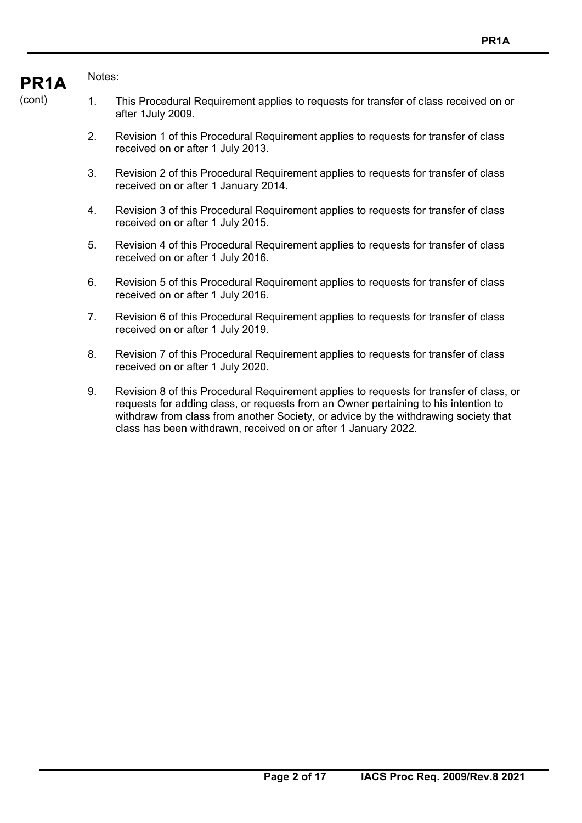#### **PR1A**  Notes:

- 1. This Procedural Requirement applies to requests for transfer of class received on or after 1July 2009.
	- 2. Revision 1 of this Procedural Requirement applies to requests for transfer of class received on or after 1 July 2013.
	- 3. Revision 2 of this Procedural Requirement applies to requests for transfer of class received on or after 1 January 2014.
	- 4. Revision 3 of this Procedural Requirement applies to requests for transfer of class received on or after 1 July 2015.
	- 5. Revision 4 of this Procedural Requirement applies to requests for transfer of class received on or after 1 July 2016.
	- 6. Revision 5 of this Procedural Requirement applies to requests for transfer of class received on or after 1 July 2016.
	- 7. Revision 6 of this Procedural Requirement applies to requests for transfer of class received on or after 1 July 2019.
	- 8. Revision 7 of this Procedural Requirement applies to requests for transfer of class received on or after 1 July 2020.
	- 9. Revision 8 of this Procedural Requirement applies to requests for transfer of class, or requests for adding class, or requests from an Owner pertaining to his intention to withdraw from class from another Society, or advice by the withdrawing society that class has been withdrawn, received on or after 1 January 2022.

(cont)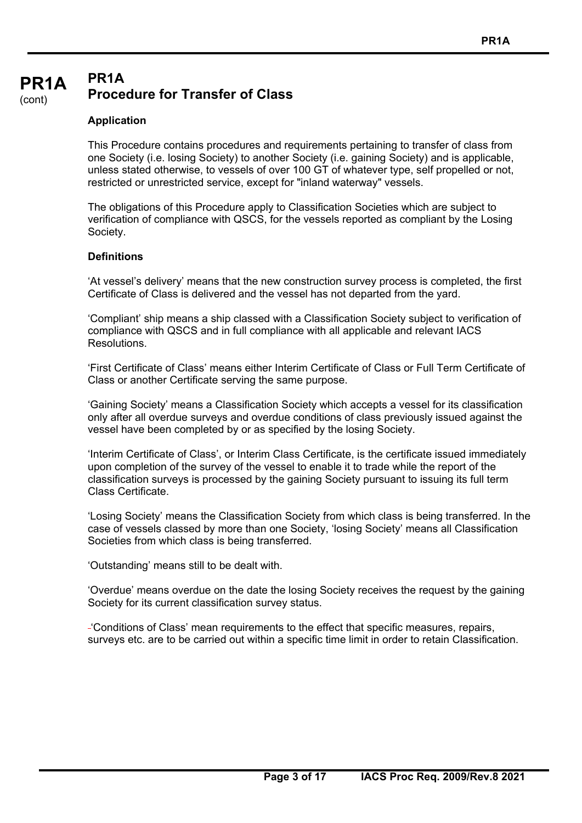#### **PR1A**  (cont) **PR1A Procedure for Transfer of Class**

#### **Application**

This Procedure contains procedures and requirements pertaining to transfer of class from one Society (i.e. losing Society) to another Society (i.e. gaining Society) and is applicable, unless stated otherwise, to vessels of over 100 GT of whatever type, self propelled or not, restricted or unrestricted service, except for "inland waterway" vessels.

The obligations of this Procedure apply to Classification Societies which are subject to verification of compliance with QSCS, for the vessels reported as compliant by the Losing Society.

#### **Definitions**

'At vessel's delivery' means that the new construction survey process is completed, the first Certificate of Class is delivered and the vessel has not departed from the yard.

'Compliant' ship means a ship classed with a Classification Society subject to verification of compliance with QSCS and in full compliance with all applicable and relevant IACS **Resolutions** 

'First Certificate of Class' means either Interim Certificate of Class or Full Term Certificate of Class or another Certificate serving the same purpose.

'Gaining Society' means a Classification Society which accepts a vessel for its classification only after all overdue surveys and overdue conditions of class previously issued against the vessel have been completed by or as specified by the losing Society.

'Interim Certificate of Class', or Interim Class Certificate, is the certificate issued immediately upon completion of the survey of the vessel to enable it to trade while the report of the classification surveys is processed by the gaining Society pursuant to issuing its full term Class Certificate.

'Losing Society' means the Classification Society from which class is being transferred. In the case of vessels classed by more than one Society, 'losing Society' means all Classification Societies from which class is being transferred.

'Outstanding' means still to be dealt with.

'Overdue' means overdue on the date the losing Society receives the request by the gaining Society for its current classification survey status.

'Conditions of Class' mean requirements to the effect that specific measures, repairs, surveys etc. are to be carried out within a specific time limit in order to retain Classification.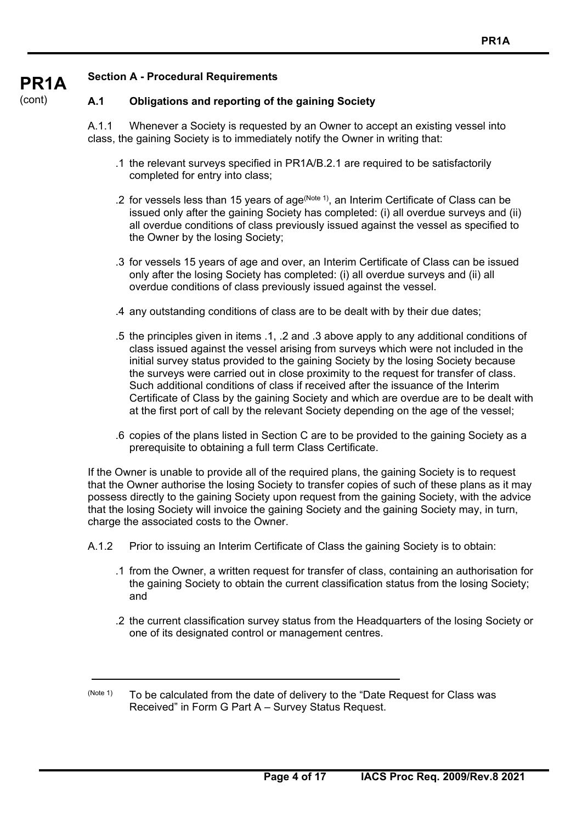#### **PR1A Section A - Procedural Requirements**

#### **A.1 Obligations and reporting of the gaining Society**

A.1.1 Whenever a Society is requested by an Owner to accept an existing vessel into class, the gaining Society is to immediately notify the Owner in writing that:

- .1 the relevant surveys specified in PR1A/B.2.1 are required to be satisfactorily completed for entry into class;
- .2 for vessels less than 15 years of age<sup>(Note 1)</sup>, an Interim Certificate of Class can be issued only after the gaining Society has completed: (i) all overdue surveys and (ii) all overdue conditions of class previously issued against the vessel as specified to the Owner by the losing Society;
- .3 for vessels 15 years of age and over, an Interim Certificate of Class can be issued only after the losing Society has completed: (i) all overdue surveys and (ii) all overdue conditions of class previously issued against the vessel.
- .4 any outstanding conditions of class are to be dealt with by their due dates;
- .5 the principles given in items .1, .2 and .3 above apply to any additional conditions of class issued against the vessel arising from surveys which were not included in the initial survey status provided to the gaining Society by the losing Society because the surveys were carried out in close proximity to the request for transfer of class. Such additional conditions of class if received after the issuance of the Interim Certificate of Class by the gaining Society and which are overdue are to be dealt with at the first port of call by the relevant Society depending on the age of the vessel;
- .6 copies of the plans listed in Section C are to be provided to the gaining Society as a prerequisite to obtaining a full term Class Certificate.

If the Owner is unable to provide all of the required plans, the gaining Society is to request that the Owner authorise the losing Society to transfer copies of such of these plans as it may possess directly to the gaining Society upon request from the gaining Society, with the advice that the losing Society will invoice the gaining Society and the gaining Society may, in turn, charge the associated costs to the Owner.

A.1.2 Prior to issuing an Interim Certificate of Class the gaining Society is to obtain:

- .1 from the Owner, a written request for transfer of class, containing an authorisation for the gaining Society to obtain the current classification status from the losing Society; and
- .2 the current classification survey status from the Headquarters of the losing Society or one of its designated control or management centres.

 $(N^{10})$  To be calculated from the date of delivery to the "Date Request for Class was Received" in Form G Part A – Survey Status Request.

# (cont)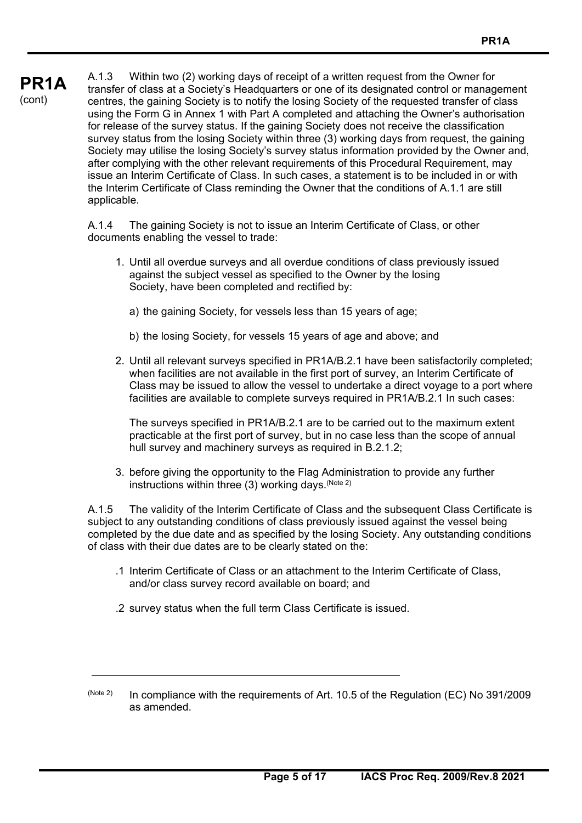# **PR1A**  (cont)

A.1.3 Within two (2) working days of receipt of a written request from the Owner for transfer of class at a Society's Headquarters or one of its designated control or management centres, the gaining Society is to notify the losing Society of the requested transfer of class using the Form G in Annex 1 with Part A completed and attaching the Owner's authorisation for release of the survey status. If the gaining Society does not receive the classification survey status from the losing Society within three (3) working days from request, the gaining Society may utilise the losing Society's survey status information provided by the Owner and, after complying with the other relevant requirements of this Procedural Requirement, may issue an Interim Certificate of Class. In such cases, a statement is to be included in or with the Interim Certificate of Class reminding the Owner that the conditions of A.1.1 are still applicable.

A.1.4 The gaining Society is not to issue an Interim Certificate of Class, or other documents enabling the vessel to trade:

- 1. Until all overdue surveys and all overdue conditions of class previously issued against the subject vessel as specified to the Owner by the losing Society, have been completed and rectified by:
	- a) the gaining Society, for vessels less than 15 years of age;
	- b) the losing Society, for vessels 15 years of age and above; and
- 2. Until all relevant surveys specified in PR1A/B.2.1 have been satisfactorily completed; when facilities are not available in the first port of survey, an Interim Certificate of Class may be issued to allow the vessel to undertake a direct voyage to a port where facilities are available to complete surveys required in PR1A/B.2.1 In such cases:

 The surveys specified in PR1A/B.2.1 are to be carried out to the maximum extent practicable at the first port of survey, but in no case less than the scope of annual hull survey and machinery surveys as required in B.2.1.2;

 3. before giving the opportunity to the Flag Administration to provide any further instructions within three (3) working days. (Note 2)

A.1.5 The validity of the Interim Certificate of Class and the subsequent Class Certificate is subject to any outstanding conditions of class previously issued against the vessel being completed by the due date and as specified by the losing Society. Any outstanding conditions of class with their due dates are to be clearly stated on the:

- .1 Interim Certificate of Class or an attachment to the Interim Certificate of Class, and/or class survey record available on board; and
- .2 survey status when the full term Class Certificate is issued.
- $(Note 2)$  In compliance with the requirements of Art. 10.5 of the Regulation (EC) No 391/2009 as amended.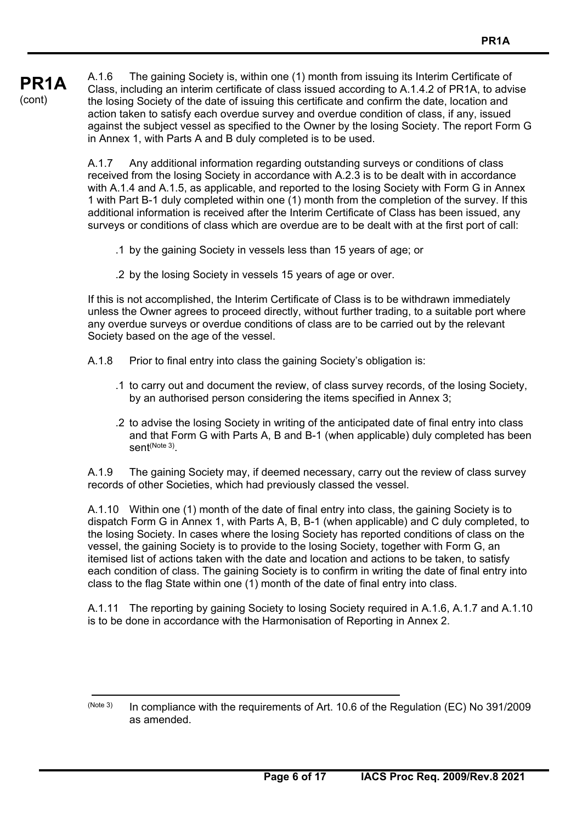**PR1A**  (cont) A.1.6 The gaining Society is, within one (1) month from issuing its Interim Certificate of Class, including an interim certificate of class issued according to A.1.4.2 of PR1A, to advise the losing Society of the date of issuing this certificate and confirm the date, location and action taken to satisfy each overdue survey and overdue condition of class, if any, issued against the subject vessel as specified to the Owner by the losing Society. The report Form G in Annex 1, with Parts A and B duly completed is to be used.

> A.1.7 Any additional information regarding outstanding surveys or conditions of class received from the losing Society in accordance with A.2.3 is to be dealt with in accordance with A.1.4 and A.1.5, as applicable, and reported to the losing Society with Form G in Annex 1 with Part B-1 duly completed within one (1) month from the completion of the survey. If this additional information is received after the Interim Certificate of Class has been issued, any surveys or conditions of class which are overdue are to be dealt with at the first port of call:

- .1 by the gaining Society in vessels less than 15 years of age; or
- .2 by the losing Society in vessels 15 years of age or over.

If this is not accomplished, the Interim Certificate of Class is to be withdrawn immediately unless the Owner agrees to proceed directly, without further trading, to a suitable port where any overdue surveys or overdue conditions of class are to be carried out by the relevant Society based on the age of the vessel.

- A.1.8 Prior to final entry into class the gaining Society's obligation is:
	- .1 to carry out and document the review, of class survey records, of the losing Society, by an authorised person considering the items specified in Annex 3;
	- .2 to advise the losing Society in writing of the anticipated date of final entry into class and that Form G with Parts A, B and B-1 (when applicable) duly completed has been sent(Note 3).

A.1.9 The gaining Society may, if deemed necessary, carry out the review of class survey records of other Societies, which had previously classed the vessel.

A.1.10 Within one (1) month of the date of final entry into class, the gaining Society is to dispatch Form G in Annex 1, with Parts A, B, B-1 (when applicable) and C duly completed, to the losing Society. In cases where the losing Society has reported conditions of class on the vessel, the gaining Society is to provide to the losing Society, together with Form G, an itemised list of actions taken with the date and location and actions to be taken, to satisfy each condition of class. The gaining Society is to confirm in writing the date of final entry into class to the flag State within one (1) month of the date of final entry into class.

A.1.11 The reporting by gaining Society to losing Society required in A.1.6, A.1.7 and A.1.10 is to be done in accordance with the Harmonisation of Reporting in Annex 2.

<sup>(</sup>Note 3) In compliance with the requirements of Art. 10.6 of the Regulation (EC) No 391/2009 as amended.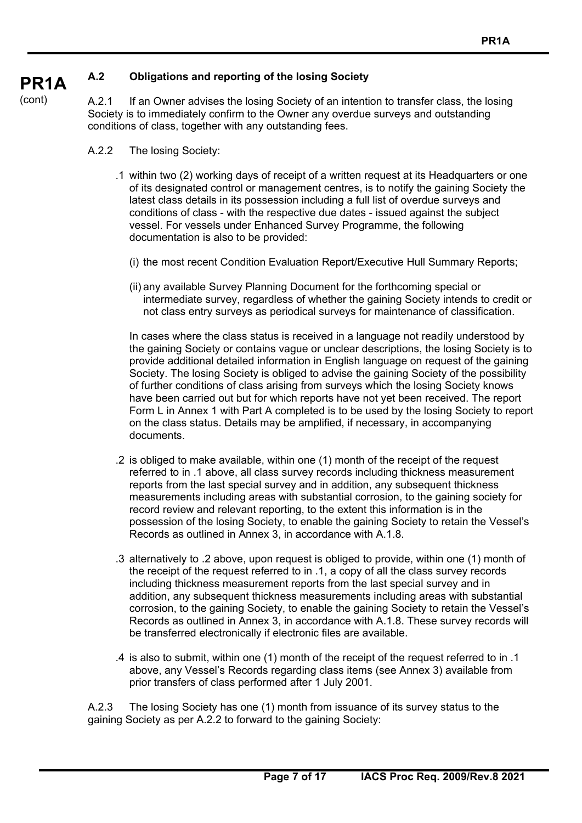#### **PR1A A.2 Obligations and reporting of the losing Society**

A.2.1 If an Owner advises the losing Society of an intention to transfer class, the losing Society is to immediately confirm to the Owner any overdue surveys and outstanding conditions of class, together with any outstanding fees.

A.2.2 The losing Society:

(cont)

- .1 within two (2) working days of receipt of a written request at its Headquarters or one of its designated control or management centres, is to notify the gaining Society the latest class details in its possession including a full list of overdue surveys and conditions of class - with the respective due dates - issued against the subject vessel. For vessels under Enhanced Survey Programme, the following documentation is also to be provided:
	- (i) the most recent Condition Evaluation Report/Executive Hull Summary Reports;
	- (ii) any available Survey Planning Document for the forthcoming special or intermediate survey, regardless of whether the gaining Society intends to credit or not class entry surveys as periodical surveys for maintenance of classification.

 In cases where the class status is received in a language not readily understood by the gaining Society or contains vague or unclear descriptions, the losing Society is to provide additional detailed information in English language on request of the gaining Society. The losing Society is obliged to advise the gaining Society of the possibility of further conditions of class arising from surveys which the losing Society knows have been carried out but for which reports have not yet been received. The report Form L in Annex 1 with Part A completed is to be used by the losing Society to report on the class status. Details may be amplified, if necessary, in accompanying documents.

- .2 is obliged to make available, within one (1) month of the receipt of the request referred to in .1 above, all class survey records including thickness measurement reports from the last special survey and in addition, any subsequent thickness measurements including areas with substantial corrosion, to the gaining society for record review and relevant reporting, to the extent this information is in the possession of the losing Society, to enable the gaining Society to retain the Vessel's Records as outlined in Annex 3, in accordance with A.1.8.
- .3 alternatively to .2 above, upon request is obliged to provide, within one (1) month of the receipt of the request referred to in .1, a copy of all the class survey records including thickness measurement reports from the last special survey and in addition, any subsequent thickness measurements including areas with substantial corrosion, to the gaining Society, to enable the gaining Society to retain the Vessel's Records as outlined in Annex 3, in accordance with A.1.8. These survey records will be transferred electronically if electronic files are available.
- .4 is also to submit, within one (1) month of the receipt of the request referred to in .1 above, any Vessel's Records regarding class items (see Annex 3) available from prior transfers of class performed after 1 July 2001.

A.2.3 The losing Society has one (1) month from issuance of its survey status to the gaining Society as per A.2.2 to forward to the gaining Society: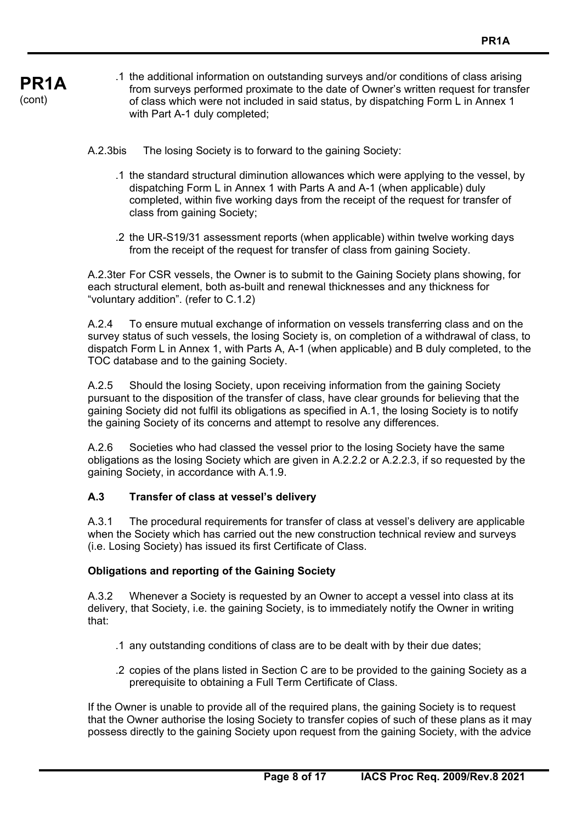- **PR1A**  .1 the additional information on outstanding surveys and/or conditions of class arising from surveys performed proximate to the date of Owner's written request for transfer of class which were not included in said status, by dispatching Form L in Annex 1 with Part A-1 duly completed;
	- A.2.3bis The losing Society is to forward to the gaining Society:

(cont)

- .1 the standard structural diminution allowances which were applying to the vessel, by dispatching Form L in Annex 1 with Parts A and A-1 (when applicable) duly completed, within five working days from the receipt of the request for transfer of class from gaining Society;
- .2 the UR-S19/31 assessment reports (when applicable) within twelve working days from the receipt of the request for transfer of class from gaining Society.

A.2.3ter For CSR vessels, the Owner is to submit to the Gaining Society plans showing, for each structural element, both as-built and renewal thicknesses and any thickness for "voluntary addition". (refer to C.1.2)

A.2.4 To ensure mutual exchange of information on vessels transferring class and on the survey status of such vessels, the losing Society is, on completion of a withdrawal of class, to dispatch Form L in Annex 1, with Parts A, A-1 (when applicable) and B duly completed, to the TOC database and to the gaining Society.

A.2.5 Should the losing Society, upon receiving information from the gaining Society pursuant to the disposition of the transfer of class, have clear grounds for believing that the gaining Society did not fulfil its obligations as specified in A.1, the losing Society is to notify the gaining Society of its concerns and attempt to resolve any differences.

A.2.6 Societies who had classed the vessel prior to the losing Society have the same obligations as the losing Society which are given in A.2.2.2 or A.2.2.3, if so requested by the gaining Society, in accordance with A.1.9.

### **A.3 Transfer of class at vessel's delivery**

A.3.1 The procedural requirements for transfer of class at vessel's delivery are applicable when the Society which has carried out the new construction technical review and surveys (i.e. Losing Society) has issued its first Certificate of Class.

#### **Obligations and reporting of the Gaining Society**

A.3.2 Whenever a Society is requested by an Owner to accept a vessel into class at its delivery, that Society, i.e. the gaining Society, is to immediately notify the Owner in writing that:

- .1 any outstanding conditions of class are to be dealt with by their due dates;
- .2 copies of the plans listed in Section C are to be provided to the gaining Society as a prerequisite to obtaining a Full Term Certificate of Class.

If the Owner is unable to provide all of the required plans, the gaining Society is to request that the Owner authorise the losing Society to transfer copies of such of these plans as it may possess directly to the gaining Society upon request from the gaining Society, with the advice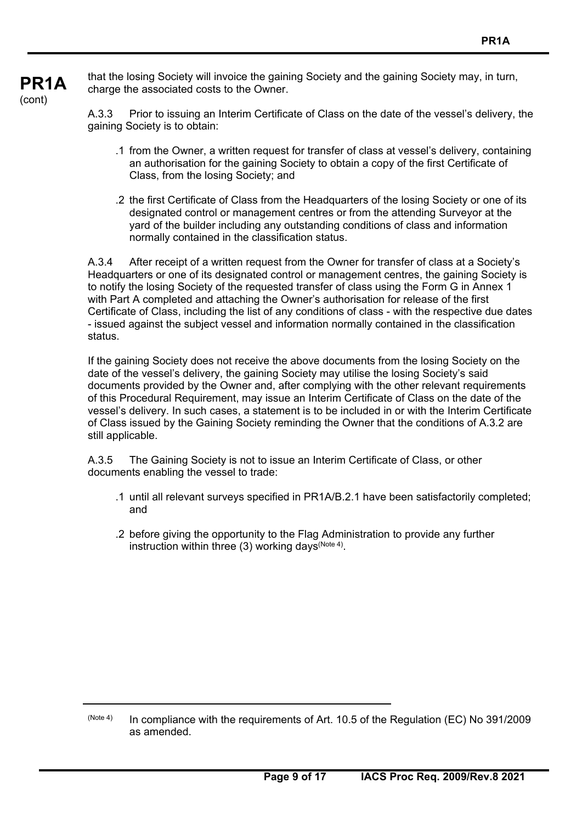**PR1A**  (cont)

that the losing Society will invoice the gaining Society and the gaining Society may, in turn, charge the associated costs to the Owner.

A.3.3 Prior to issuing an Interim Certificate of Class on the date of the vessel's delivery, the gaining Society is to obtain:

- .1 from the Owner, a written request for transfer of class at vessel's delivery, containing an authorisation for the gaining Society to obtain a copy of the first Certificate of Class, from the losing Society; and
- .2 the first Certificate of Class from the Headquarters of the losing Society or one of its designated control or management centres or from the attending Surveyor at the yard of the builder including any outstanding conditions of class and information normally contained in the classification status.

A.3.4 After receipt of a written request from the Owner for transfer of class at a Society's Headquarters or one of its designated control or management centres, the gaining Society is to notify the losing Society of the requested transfer of class using the Form G in Annex 1 with Part A completed and attaching the Owner's authorisation for release of the first Certificate of Class, including the list of any conditions of class - with the respective due dates - issued against the subject vessel and information normally contained in the classification status.

If the gaining Society does not receive the above documents from the losing Society on the date of the vessel's delivery, the gaining Society may utilise the losing Society's said documents provided by the Owner and, after complying with the other relevant requirements of this Procedural Requirement, may issue an Interim Certificate of Class on the date of the vessel's delivery. In such cases, a statement is to be included in or with the Interim Certificate of Class issued by the Gaining Society reminding the Owner that the conditions of A.3.2 are still applicable.

A.3.5 The Gaining Society is not to issue an Interim Certificate of Class, or other documents enabling the vessel to trade:

- .1 until all relevant surveys specified in PR1A/B.2.1 have been satisfactorily completed; and
- .2 before giving the opportunity to the Flag Administration to provide any further instruction within three (3) working days  $(N^{10} + 4)$ .

<sup>(</sup>Note 4) In compliance with the requirements of Art. 10.5 of the Regulation (EC) No 391/2009 as amended.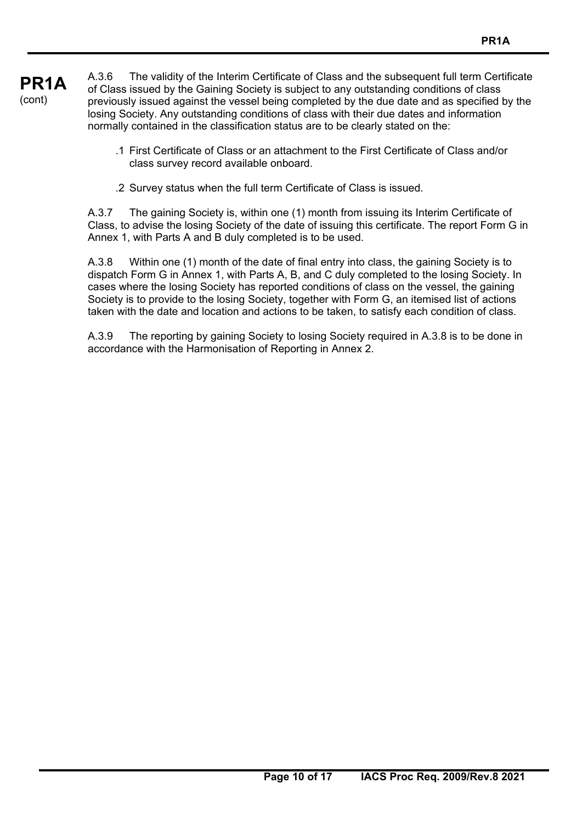**PR1A**  (cont) A.3.6 The validity of the Interim Certificate of Class and the subsequent full term Certificate of Class issued by the Gaining Society is subject to any outstanding conditions of class previously issued against the vessel being completed by the due date and as specified by the losing Society. Any outstanding conditions of class with their due dates and information normally contained in the classification status are to be clearly stated on the:

- .1 First Certificate of Class or an attachment to the First Certificate of Class and/or class survey record available onboard.
- .2 Survey status when the full term Certificate of Class is issued.

A.3.7 The gaining Society is, within one (1) month from issuing its Interim Certificate of Class, to advise the losing Society of the date of issuing this certificate. The report Form G in Annex 1, with Parts A and B duly completed is to be used.

A.3.8 Within one (1) month of the date of final entry into class, the gaining Society is to dispatch Form G in Annex 1, with Parts A, B, and C duly completed to the losing Society. In cases where the losing Society has reported conditions of class on the vessel, the gaining Society is to provide to the losing Society, together with Form G, an itemised list of actions taken with the date and location and actions to be taken, to satisfy each condition of class.

A.3.9 The reporting by gaining Society to losing Society required in A.3.8 is to be done in accordance with the Harmonisation of Reporting in Annex 2.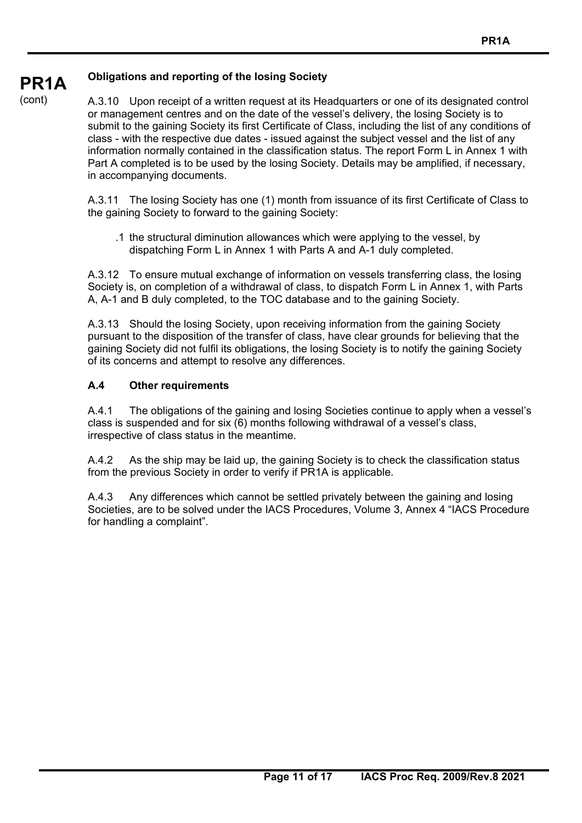#### **PR1A Obligations and reporting of the losing Society**

(cont)

A.3.10 Upon receipt of a written request at its Headquarters or one of its designated control or management centres and on the date of the vessel's delivery, the losing Society is to submit to the gaining Society its first Certificate of Class, including the list of any conditions of class - with the respective due dates - issued against the subject vessel and the list of any information normally contained in the classification status. The report Form L in Annex 1 with Part A completed is to be used by the losing Society. Details may be amplified, if necessary, in accompanying documents.

A.3.11 The losing Society has one (1) month from issuance of its first Certificate of Class to the gaining Society to forward to the gaining Society:

 .1 the structural diminution allowances which were applying to the vessel, by dispatching Form L in Annex 1 with Parts A and A-1 duly completed.

A.3.12 To ensure mutual exchange of information on vessels transferring class, the losing Society is, on completion of a withdrawal of class, to dispatch Form L in Annex 1, with Parts A, A-1 and B duly completed, to the TOC database and to the gaining Society.

A.3.13 Should the losing Society, upon receiving information from the gaining Society pursuant to the disposition of the transfer of class, have clear grounds for believing that the gaining Society did not fulfil its obligations, the losing Society is to notify the gaining Society of its concerns and attempt to resolve any differences.

### **A.4 Other requirements**

A.4.1 The obligations of the gaining and losing Societies continue to apply when a vessel's class is suspended and for six (6) months following withdrawal of a vessel's class, irrespective of class status in the meantime.

A.4.2 As the ship may be laid up, the gaining Society is to check the classification status from the previous Society in order to verify if PR1A is applicable.

A.4.3 Any differences which cannot be settled privately between the gaining and losing Societies, are to be solved under the IACS Procedures, Volume 3, Annex 4 "IACS Procedure for handling a complaint".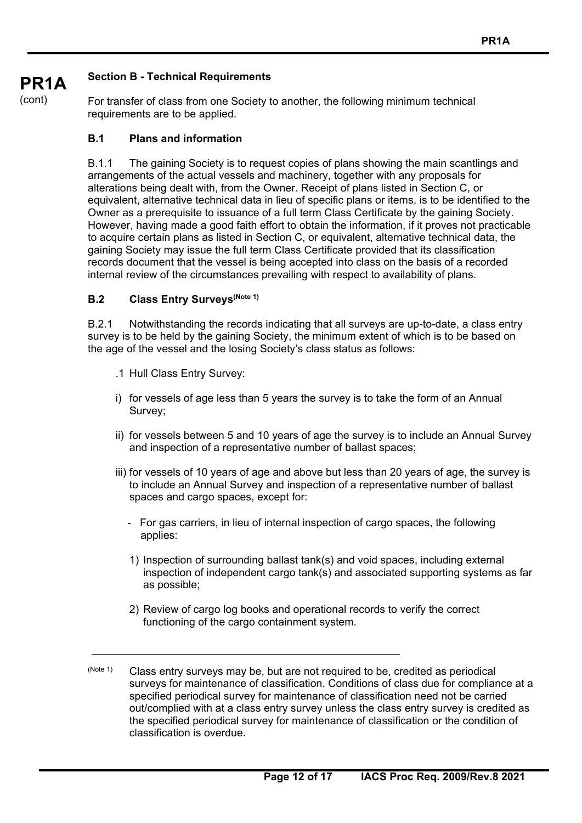# **Section B - Technical Requirements**

For transfer of class from one Society to another, the following minimum technical requirements are to be applied.

### **B.1 Plans and information**

B.1.1 The gaining Society is to request copies of plans showing the main scantlings and arrangements of the actual vessels and machinery, together with any proposals for alterations being dealt with, from the Owner. Receipt of plans listed in Section C, or equivalent, alternative technical data in lieu of specific plans or items, is to be identified to the Owner as a prerequisite to issuance of a full term Class Certificate by the gaining Society. However, having made a good faith effort to obtain the information, if it proves not practicable to acquire certain plans as listed in Section C, or equivalent, alternative technical data, the gaining Society may issue the full term Class Certificate provided that its classification records document that the vessel is being accepted into class on the basis of a recorded internal review of the circumstances prevailing with respect to availability of plans.

### **B.2** Class Entry Surveys<sup>(Note 1)</sup>

B.2.1 Notwithstanding the records indicating that all surveys are up-to-date, a class entry survey is to be held by the gaining Society, the minimum extent of which is to be based on the age of the vessel and the losing Society's class status as follows:

- .1 Hull Class Entry Survey:
- i) for vessels of age less than 5 years the survey is to take the form of an Annual Survey;
- ii) for vessels between 5 and 10 years of age the survey is to include an Annual Survey and inspection of a representative number of ballast spaces;
- iii) for vessels of 10 years of age and above but less than 20 years of age, the survey is to include an Annual Survey and inspection of a representative number of ballast spaces and cargo spaces, except for:
	- For gas carriers, in lieu of internal inspection of cargo spaces, the following applies:
	- 1) Inspection of surrounding ballast tank(s) and void spaces, including external inspection of independent cargo tank(s) and associated supporting systems as far as possible;
	- 2) Review of cargo log books and operational records to verify the correct functioning of the cargo containment system.
- (Note 1) Class entry surveys may be, but are not required to be, credited as periodical surveys for maintenance of classification. Conditions of class due for compliance at a specified periodical survey for maintenance of classification need not be carried out/complied with at a class entry survey unless the class entry survey is credited as the specified periodical survey for maintenance of classification or the condition of classification is overdue.

(cont)

**PR1A**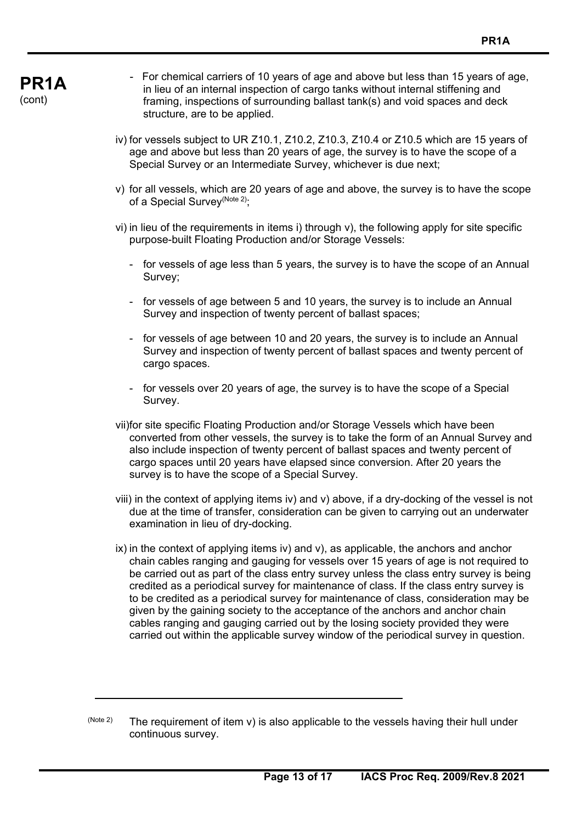- For chemical carriers of 10 years of age and above but less than 15 years of age, in lieu of an internal inspection of cargo tanks without internal stiffening and framing, inspections of surrounding ballast tank(s) and void spaces and deck structure, are to be applied.
- iv) for vessels subject to UR Z10.1, Z10.2, Z10.3, Z10.4 or Z10.5 which are 15 years of age and above but less than 20 years of age, the survey is to have the scope of a Special Survey or an Intermediate Survey, whichever is due next;
- v) for all vessels, which are 20 years of age and above, the survey is to have the scope of a Special Survey<sup>(Note 2)</sup>;
- vi) in lieu of the requirements in items i) through v), the following apply for site specific purpose-built Floating Production and/or Storage Vessels:
	- for vessels of age less than 5 years, the survey is to have the scope of an Annual Survey;
	- for vessels of age between 5 and 10 years, the survey is to include an Annual Survey and inspection of twenty percent of ballast spaces;
	- for vessels of age between 10 and 20 years, the survey is to include an Annual Survey and inspection of twenty percent of ballast spaces and twenty percent of cargo spaces.
	- for vessels over 20 years of age, the survey is to have the scope of a Special Survey.
- vii) for site specific Floating Production and/or Storage Vessels which have been converted from other vessels, the survey is to take the form of an Annual Survey and also include inspection of twenty percent of ballast spaces and twenty percent of cargo spaces until 20 years have elapsed since conversion. After 20 years the survey is to have the scope of a Special Survey.
- viii) in the context of applying items iv) and v) above, if a dry-docking of the vessel is not due at the time of transfer, consideration can be given to carrying out an underwater examination in lieu of dry-docking.
- ix) in the context of applying items iv) and v), as applicable, the anchors and anchor chain cables ranging and gauging for vessels over 15 years of age is not required to be carried out as part of the class entry survey unless the class entry survey is being credited as a periodical survey for maintenance of class. If the class entry survey is to be credited as a periodical survey for maintenance of class, consideration may be given by the gaining society to the acceptance of the anchors and anchor chain cables ranging and gauging carried out by the losing society provided they were carried out within the applicable survey window of the periodical survey in question.
- $(N^{10}$  (Note 2) The requirement of item v) is also applicable to the vessels having their hull under continuous survey.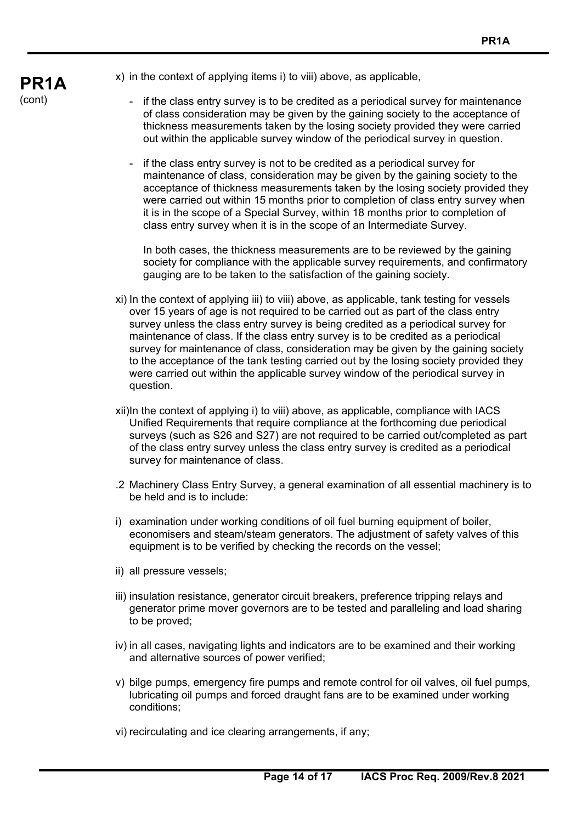

x) in the context of applying items i) to viii) above, as applicable,

- if the class entry survey is to be credited as a periodical survey for maintenance of class consideration may be given by the gaining society to the acceptance of thickness measurements taken by the losing society provided they were carried out within the applicable survey window of the periodical survey in question.
- if the class entry survey is not to be credited as a periodical survey for maintenance of class, consideration may be given by the gaining society to the acceptance of thickness measurements taken by the losing society provided they were carried out within 15 months prior to completion of class entry survey when it is in the scope of a Special Survey, within 18 months prior to completion of class entry survey when it is in the scope of an Intermediate Survey.

 In both cases, the thickness measurements are to be reviewed by the gaining society for compliance with the applicable survey requirements, and confirmatory gauging are to be taken to the satisfaction of the gaining society.

- xi) In the context of applying iii) to viii) above, as applicable, tank testing for vessels over 15 years of age is not required to be carried out as part of the class entry survey unless the class entry survey is being credited as a periodical survey for maintenance of class. If the class entry survey is to be credited as a periodical survey for maintenance of class, consideration may be given by the gaining society to the acceptance of the tank testing carried out by the losing society provided they were carried out within the applicable survey window of the periodical survey in question.
- xii) In the context of applying i) to viii) above, as applicable, compliance with IACS Unified Requirements that require compliance at the forthcoming due periodical surveys (such as S26 and S27) are not required to be carried out/completed as part of the class entry survey unless the class entry survey is credited as a periodical survey for maintenance of class.
- .2 Machinery Class Entry Survey, a general examination of all essential machinery is to be held and is to include:
- i) examination under working conditions of oil fuel burning equipment of boiler, economisers and steam/steam generators. The adjustment of safety valves of this equipment is to be verified by checking the records on the vessel;
- ii) all pressure vessels;
- iii) insulation resistance, generator circuit breakers, preference tripping relays and generator prime mover governors are to be tested and paralleling and load sharing to be proved;
- iv) in all cases, navigating lights and indicators are to be examined and their working and alternative sources of power verified;
- v) bilge pumps, emergency fire pumps and remote control for oil valves, oil fuel pumps, lubricating oil pumps and forced draught fans are to be examined under working conditions;
- vi) recirculating and ice clearing arrangements, if any;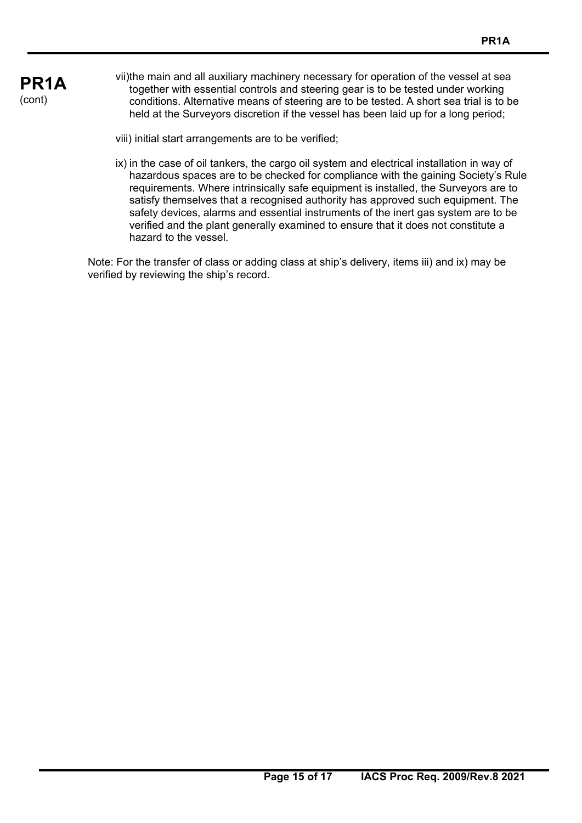# **PR1A**  (cont)

- vii) the main and all auxiliary machinery necessary for operation of the vessel at sea together with essential controls and steering gear is to be tested under working conditions. Alternative means of steering are to be tested. A short sea trial is to be held at the Surveyors discretion if the vessel has been laid up for a long period;
	- viii) initial start arrangements are to be verified;
	- ix) in the case of oil tankers, the cargo oil system and electrical installation in way of hazardous spaces are to be checked for compliance with the gaining Society's Rule requirements. Where intrinsically safe equipment is installed, the Surveyors are to satisfy themselves that a recognised authority has approved such equipment. The safety devices, alarms and essential instruments of the inert gas system are to be verified and the plant generally examined to ensure that it does not constitute a hazard to the vessel.

Note: For the transfer of class or adding class at ship's delivery, items iii) and ix) may be verified by reviewing the ship's record.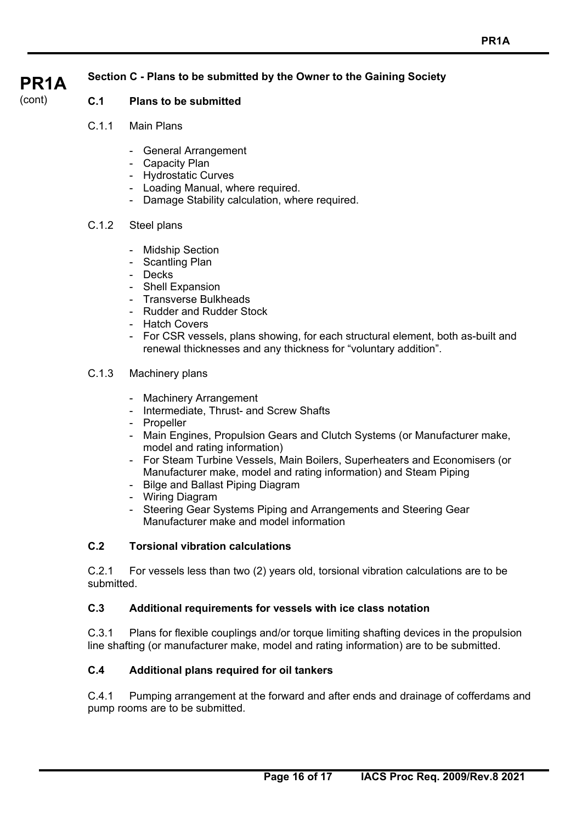# **Section C - Plans to be submitted by the Owner to the Gaining Society**

### **PR1A**  (cont)

# **C.1 Plans to be submitted**

- C.1.1 Main Plans
	- General Arrangement
	- Capacity Plan
	- Hydrostatic Curves
	- Loading Manual, where required.
	- Damage Stability calculation, where required.

### C.1.2 Steel plans

- Midship Section
- Scantling Plan
- Decks
- Shell Expansion
- Transverse Bulkheads
- Rudder and Rudder Stock
- Hatch Covers
- For CSR vessels, plans showing, for each structural element, both as-built and renewal thicknesses and any thickness for "voluntary addition".

### C.1.3 Machinery plans

- Machinery Arrangement
- Intermediate, Thrust- and Screw Shafts
- Propeller
- Main Engines, Propulsion Gears and Clutch Systems (or Manufacturer make, model and rating information)
- For Steam Turbine Vessels, Main Boilers, Superheaters and Economisers (or Manufacturer make, model and rating information) and Steam Piping
- Bilge and Ballast Piping Diagram
- Wiring Diagram
- Steering Gear Systems Piping and Arrangements and Steering Gear Manufacturer make and model information

# **C.2 Torsional vibration calculations**

C.2.1 For vessels less than two (2) years old, torsional vibration calculations are to be submitted.

# **C.3 Additional requirements for vessels with ice class notation**

C.3.1 Plans for flexible couplings and/or torque limiting shafting devices in the propulsion line shafting (or manufacturer make, model and rating information) are to be submitted.

# **C.4 Additional plans required for oil tankers**

C.4.1 Pumping arrangement at the forward and after ends and drainage of cofferdams and pump rooms are to be submitted.